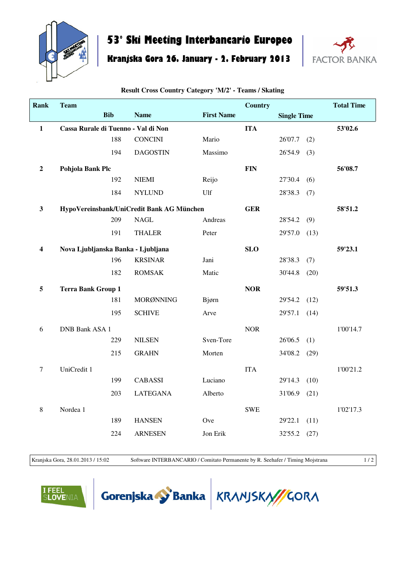

## **53° Ski Meeting Interbancario Europeo**

## **Kranjska Gora 26. January - 2. February 2013**



| <b>Rank</b>             | <b>Team</b>                         |            |                                           |                   | <b>Country</b> |                    |      | <b>Total Time</b> |
|-------------------------|-------------------------------------|------------|-------------------------------------------|-------------------|----------------|--------------------|------|-------------------|
|                         |                                     | <b>Bib</b> | <b>Name</b>                               | <b>First Name</b> |                | <b>Single Time</b> |      |                   |
| $\mathbf{1}$            | Cassa Rurale di Tuenno - Val di Non |            |                                           |                   | <b>ITA</b>     |                    |      | 53'02.6           |
|                         |                                     | 188        | <b>CONCINI</b>                            | Mario             |                | 26'07.7            | (2)  |                   |
|                         |                                     | 194        | <b>DAGOSTIN</b>                           | Massimo           |                | 26'54.9            | (3)  |                   |
| $\overline{2}$          | Pohjola Bank Plc                    |            |                                           |                   | <b>FIN</b>     |                    |      | 56'08.7           |
|                         |                                     | 192        | <b>NIEMI</b>                              | Reijo             |                | 27'30.4            | (6)  |                   |
|                         |                                     | 184        | <b>NYLUND</b>                             | Ulf               |                | 28'38.3            | (7)  |                   |
| $\mathbf{3}$            |                                     |            | HypoVereinsbank/UniCredit Bank AG München |                   | <b>GER</b>     |                    |      | 58'51.2           |
|                         |                                     | 209        | <b>NAGL</b>                               | Andreas           |                | 28'54.2            | (9)  |                   |
|                         |                                     | 191        | <b>THALER</b>                             | Peter             |                | 29'57.0            | (13) |                   |
| $\overline{\mathbf{4}}$ | Nova Ljubljanska Banka - Ljubljana  |            |                                           |                   | <b>SLO</b>     |                    |      | 59'23.1           |
|                         |                                     | 196        | <b>KRSINAR</b>                            | Jani              |                | 28'38.3            | (7)  |                   |
|                         |                                     | 182        | <b>ROMSAK</b>                             | Matic             |                | 30'44.8            | (20) |                   |
| 5                       | <b>Terra Bank Group 1</b>           |            |                                           |                   | <b>NOR</b>     |                    |      | 59'51.3           |
|                         |                                     | 181        | MORØNNING                                 | Bjørn             |                | 29'54.2            | (12) |                   |
|                         |                                     | 195        | <b>SCHIVE</b>                             | Arve              |                | 29'57.1            | (14) |                   |
| $\sqrt{6}$              | <b>DNB Bank ASA 1</b>               |            |                                           |                   | <b>NOR</b>     |                    |      | 1'00'14.7         |
|                         |                                     | 229        | <b>NILSEN</b>                             | Sven-Tore         |                | 26'06.5            | (1)  |                   |
|                         |                                     | 215        | <b>GRAHN</b>                              | Morten            |                | 34'08.2            | (29) |                   |
| $\tau$                  | UniCredit 1                         |            |                                           |                   | <b>ITA</b>     |                    |      | 1'00'21.2         |
|                         |                                     | 199        | <b>CABASSI</b>                            | Luciano           |                | 29'14.3            | (10) |                   |
|                         |                                     | 203        | <b>LATEGANA</b>                           | Alberto           |                | 31'06.9            | (21) |                   |
| $\,8\,$                 | Nordea 1                            |            |                                           |                   | <b>SWE</b>     |                    |      | 1'02'17.3         |
|                         |                                     | 189        | <b>HANSEN</b>                             | Ove               |                | 29'22.1            | (11) |                   |
|                         |                                     | 224        | <b>ARNESEN</b>                            | Jon Erik          |                | 32'55.2            | (27) |                   |

**Result Cross Country Category 'M/2' - Teams / Skating**

Kranjska Gora, 28.01.2013 / 15:02 Software INTERBANCARIO / Comitato Permanente by R. Seehafer / Timing Mojstrana 1/2